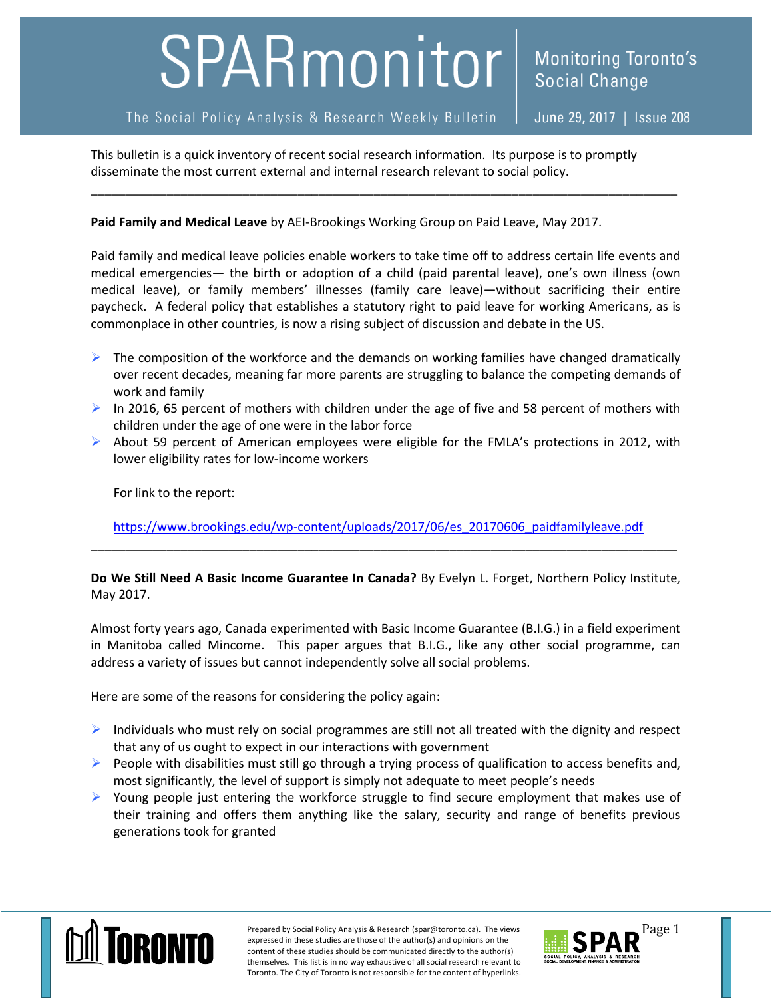## SPARmonitor

## The Social Policy Analysis & Research Weekly Bulletin

**Monitoring Toronto's** 

**Social Change** 

This bulletin is a quick inventory of recent social research information. Its purpose is to promptly disseminate the most current external and internal research relevant to social policy.

\_\_\_\_\_\_\_\_\_\_\_\_\_\_\_\_\_\_\_\_\_\_\_\_\_\_\_\_\_\_\_\_\_\_\_\_\_\_\_\_\_\_\_\_\_\_\_\_\_\_\_\_\_\_\_\_\_\_\_\_\_\_\_\_\_\_\_\_\_\_\_\_\_\_\_\_\_\_\_\_\_\_\_\_\_

**Paid Family and Medical Leave** by AEI-Brookings Working Group on Paid Leave, May 2017.

Paid family and medical leave policies enable workers to take time off to address certain life events and medical emergencies— the birth or adoption of a child (paid parental leave), one's own illness (own medical leave), or family members' illnesses (family care leave)—without sacrificing their entire paycheck. A federal policy that establishes a statutory right to paid leave for working Americans, as is commonplace in other countries, is now a rising subject of discussion and debate in the US.

- $\triangleright$  The composition of the workforce and the demands on working families have changed dramatically over recent decades, meaning far more parents are struggling to balance the competing demands of work and family
- In 2016, 65 percent of mothers with children under the age of five and 58 percent of mothers with children under the age of one were in the labor force
- $\triangleright$  About 59 percent of American employees were eligible for the FMLA's protections in 2012, with lower eligibility rates for low-income workers

For link to the report:

[https://www.brookings.edu/wp-content/uploads/2017/06/es\\_20170606\\_paidfamilyleave.pdf](https://www.brookings.edu/wp-content/uploads/2017/06/es_20170606_paidfamilyleave.pdf) \_\_\_\_\_\_\_\_\_\_\_\_\_\_\_\_\_\_\_\_\_\_\_\_\_\_\_\_\_\_\_\_\_\_\_\_\_\_\_\_\_\_\_\_\_\_\_\_\_\_\_\_\_\_\_\_\_\_\_\_\_\_\_\_\_\_\_\_\_\_\_\_\_\_\_\_\_\_\_\_\_\_\_\_\_

**Do We Still Need A Basic Income Guarantee In Canada?** By Evelyn L. Forget, Northern Policy Institute, May 2017.

Almost forty years ago, Canada experimented with Basic Income Guarantee (B.I.G.) in a field experiment in Manitoba called Mincome. This paper argues that B.I.G., like any other social programme, can address a variety of issues but cannot independently solve all social problems.

Here are some of the reasons for considering the policy again:

- $\triangleright$  Individuals who must rely on social programmes are still not all treated with the dignity and respect that any of us ought to expect in our interactions with government
- $\triangleright$  People with disabilities must still go through a trying process of qualification to access benefits and, most significantly, the level of support is simply not adequate to meet people's needs
- $\triangleright$  Young people just entering the workforce struggle to find secure employment that makes use of their training and offers them anything like the salary, security and range of benefits previous generations took for granted



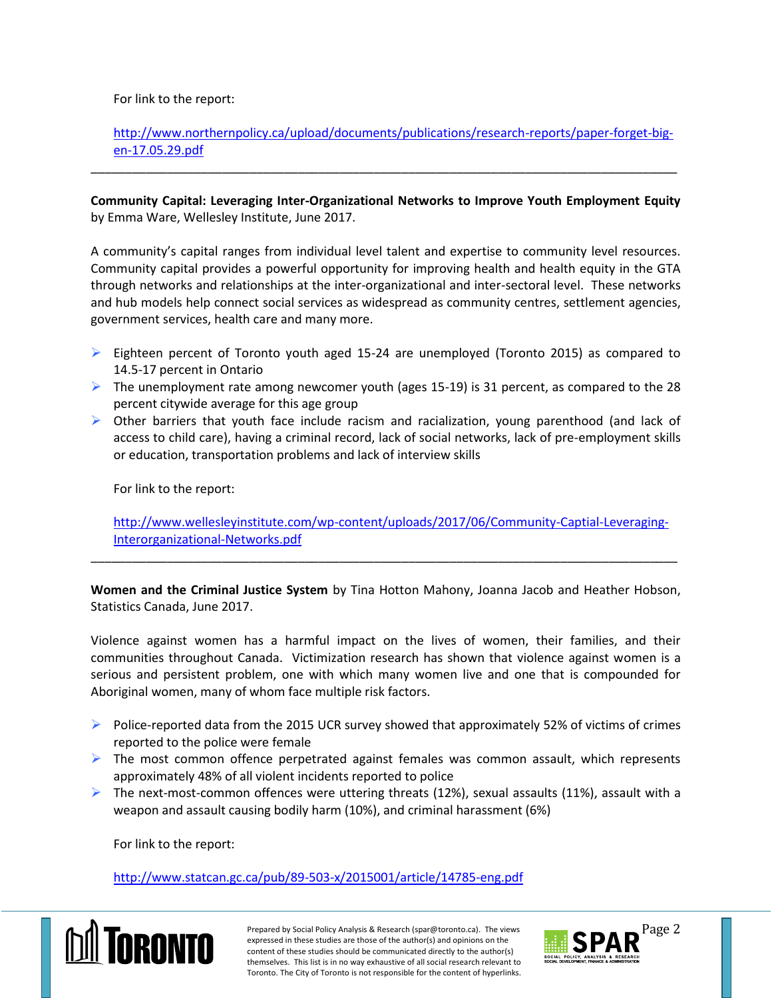For link to the report:

[http://www.northernpolicy.ca/upload/documents/publications/research-reports/paper-forget-big](http://www.northernpolicy.ca/upload/documents/publications/research-reports/paper-forget-big-en-17.05.29.pdf)[en-17.05.29.pdf](http://www.northernpolicy.ca/upload/documents/publications/research-reports/paper-forget-big-en-17.05.29.pdf)

**Community Capital: Leveraging Inter-Organizational Networks to Improve Youth Employment Equity** by Emma Ware, Wellesley Institute, June 2017.

\_\_\_\_\_\_\_\_\_\_\_\_\_\_\_\_\_\_\_\_\_\_\_\_\_\_\_\_\_\_\_\_\_\_\_\_\_\_\_\_\_\_\_\_\_\_\_\_\_\_\_\_\_\_\_\_\_\_\_\_\_\_\_\_\_\_\_\_\_\_\_\_\_\_\_\_\_\_\_\_\_\_\_\_\_

A community's capital ranges from individual level talent and expertise to community level resources. Community capital provides a powerful opportunity for improving health and health equity in the GTA through networks and relationships at the inter-organizational and inter-sectoral level. These networks and hub models help connect social services as widespread as community centres, settlement agencies, government services, health care and many more.

- $\triangleright$  Eighteen percent of Toronto youth aged 15-24 are unemployed (Toronto 2015) as compared to 14.5-17 percent in Ontario
- The unemployment rate among newcomer youth (ages 15-19) is 31 percent, as compared to the 28 percent citywide average for this age group
- $\triangleright$  Other barriers that youth face include racism and racialization, young parenthood (and lack of access to child care), having a criminal record, lack of social networks, lack of pre-employment skills or education, transportation problems and lack of interview skills

For link to the report:

[http://www.wellesleyinstitute.com/wp-content/uploads/2017/06/Community-Captial-Leveraging-](http://www.wellesleyinstitute.com/wp-content/uploads/2017/06/Community-Captial-Leveraging-Interorganizational-Networks.pdf)[Interorganizational-Networks.pdf](http://www.wellesleyinstitute.com/wp-content/uploads/2017/06/Community-Captial-Leveraging-Interorganizational-Networks.pdf)

**Women and the Criminal Justice System** by Tina Hotton Mahony, Joanna Jacob and Heather Hobson, Statistics Canada, June 2017.

\_\_\_\_\_\_\_\_\_\_\_\_\_\_\_\_\_\_\_\_\_\_\_\_\_\_\_\_\_\_\_\_\_\_\_\_\_\_\_\_\_\_\_\_\_\_\_\_\_\_\_\_\_\_\_\_\_\_\_\_\_\_\_\_\_\_\_\_\_\_\_\_\_\_\_\_\_\_\_\_\_\_\_\_\_

Violence against women has a harmful impact on the lives of women, their families, and their communities throughout Canada. Victimization research has shown that violence against women is a serious and persistent problem, one with which many women live and one that is compounded for Aboriginal women, many of whom face multiple risk factors.

- $\triangleright$  Police-reported data from the 2015 UCR survey showed that approximately 52% of victims of crimes reported to the police were female
- $\triangleright$  The most common offence perpetrated against females was common assault, which represents approximately 48% of all violent incidents reported to police
- $\triangleright$  The next-most-common offences were uttering threats (12%), sexual assaults (11%), assault with a weapon and assault causing bodily harm (10%), and criminal harassment (6%)

For link to the report:

<http://www.statcan.gc.ca/pub/89-503-x/2015001/article/14785-eng.pdf>